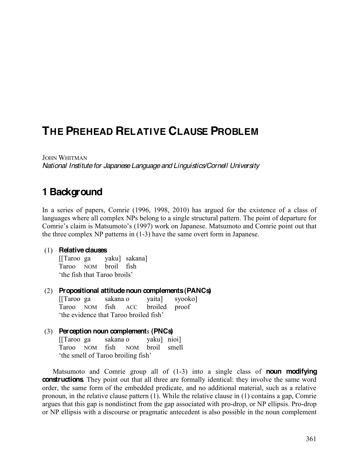# **THE PREHEAD RELATIVE CLAUSE PROBLEM**

JOHN WHITMAN *National Institute for Japanese Language and Linguistics/Cornell University*

# **1 Background**

In a series of papers, Comrie (1996, 1998, 2010) has argued for the existence of a class of languages where all complex NPs belong to a single structural pattern. The point of departure for Comrie's claim is Matsumoto's (1997) work on Japanese. Matsumoto and Comrie point out that the three complex NP patterns in (1-3) have the same overt form in Japanese.

#### (1) **Relative clauses**

[[Taroo ga yaku] sakana] Taroo NOM broil fish 'the fish that Taroo broils'

#### (2) **Propositional attitude noun complements(PANCs)**

[[Taroo ga sakana o yaita] syooko] Taroo NOM fish ACC broiled proof the evidence that Taroo broiled fish'

#### (3) **Perception noun complement**s **(PNCs)**

[[Taroo ga sakana o yaku] nioi] Taroo NOM fish NOM broil smell the smell of Taroo broiling fish'

Matsumoto and Comrie group all of (1-3) into a single class of **noun modifying constructions**. They point out that all three are formally identical: they involve the same word order, the same form of the embedded predicate, and no additional material, such as a relative pronoun, in the relative clause pattern (1). While the relative clause in (1) contains a gap, Comrie argues that this gap is nondistinct from the gap associated with pro-drop, or NP ellipsis. Pro-drop or NP ellipsis with a discourse or pragmatic antecedent is also possible in the noun complement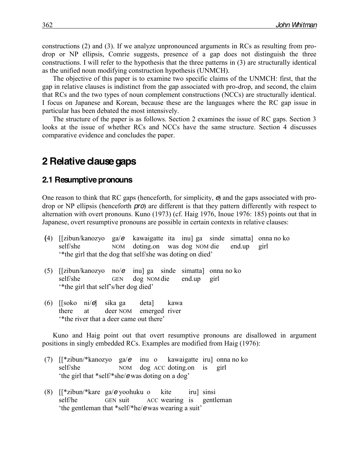constructions (2) and (3). If we analyze unpronounced arguments in RCs as resulting from prodrop or NP ellipsis, Comrie suggests, presence of a gap does not distinguish the three constructions. I will refer to the hypothesis that the three patterns in (3) are structurally identical as the unified noun modifying construction hypothesis (UNMCH).

The objective of this paper is to examine two specific claims of the UNMCH: first, that the gap in relative clauses is indistinct from the gap associated with pro-drop, and second, the claim that RCs and the two types of noun complement constructions (NCCs) are structurally identical. I focus on Japanese and Korean, because these are the languages where the RC gap issue in particular has been debated the most intensively.

The structure of the paper is as follows. Section 2 examines the issue of RC gaps. Section 3 looks at the issue of whether RCs and NCCs have the same structure. Section 4 discusses comparative evidence and concludes the paper.

# **2 Relative clause gaps**

#### **2.1 Resumptive pronouns**

One reason to think that RC gaps (henceforth, for simplicity, *e*) and the gaps associated with prodrop or NP ellipsis (henceforth *pro*) are different is that they pattern differently with respect to alternation with overt pronouns. Kuno (1973) (cf. Haig 1976, Inoue 1976: 185) points out that in Japanese, overt resumptive pronouns are possible in certain contexts in relative clauses:

- **(**4) [[zibun/kanozyo ga/*e* kawaigatte ita inu] ga sinde simatta] onna no ko self/she NOM doting.on was dog NOM die end.up girl "the girl that the dog that self/she was doting on died"
- (5) [[zibun/kanozyo no/*e* inu] ga sinde simatta] onna no ko self/she GEN dog NOM die end.up girl "the girl that self's/her dog died"
- (6) [[soko ni/*e*] sika ga deta] kawa there at deer NOM emerged river "<sup>\*</sup>the river that a deer came out there"

Kuno and Haig point out that overt resumptive pronouns are disallowed in argument positions in singly embedded RCs. Examples are modified from Haig (1976):

- (7) [[\*zibun/\*kanozyo ga/*e* inu o kawaigatte iru] onna no ko self/she NOM dog ACC doting.on is girl 'the girl that \*self/\*she/**e** was doting on a dog'
- (8) [[\*zibun/\*kare ga/*e* yoohuku o kite iru] sinsi self/he GEN suit ACC wearing is gentleman the gentleman that \*self/\*he/*e* was wearing a suit'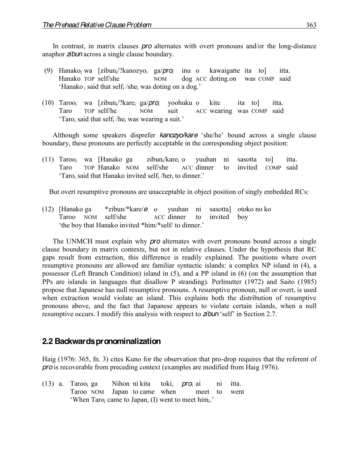In contrast, in matrix clauses *pro* alternates with overt pronouns and/or the long-distance anaphor *zibun* across a single clause boundary.

- (9) Hanakoi wa [zibuni/?kanozyoi ga/*pro*<sup>i</sup> inu o kawaigatte ita to] itta. Hanako TOP self/she NOM dog ACC doting.on was COMP said  $'$ Hanako i said that selfi /shei was doting on a dog.'
- (10) Tarooi wa [zibuni/?karei ga/*pro*<sup>i</sup> yoohuku o kite ita to] itta. Taro TOP self/he NOM suit ACC wearing was COMP said 'Taro<sub>i</sub> said that self<sub>i</sub> /he<sub>i</sub> was wearing a suit.'

Although some speakers disprefer *kanozyo/kare* 'she/he' bound across a single clause boundary, these pronouns are perfectly acceptable in the corresponding object position:

(11) Taroo<sub>i</sub> wa [Hanako ga zibun<sub>i</sub>/kare<sub>i</sub> o yuuhan ni sasotta to] itta. Taro TOP Hanako NOM self/she ACC dinner to invited COMP said 'Taro, said that Hanako invited self<sub>i</sub> /her<sub>i</sub> to dinner.'

But overt resumptive pronouns are unacceptable in object position of singly embedded RCs:

(12) [Hanako ga \*zibun/\*kare/*e* o yuuhan ni sasotta] otoko no ko Taroo NOM self/she ACC dinner to invited boy 'the boy that Hanako invited \*him/\*self/ to dinner.'

The UNMCH must explain why *pro* alternates with overt pronouns bound across a single clause boundary in matrix contexts, but not in relative clauses. Under the hypothesis that RC gaps result from extraction, this difference is readily explained. The positions where overt resumptive pronouns are allowed are familiar syntactic islands: a complex NP island in (4), a possessor (Left Branch Condition) island in (5), and a PP island in (6) (on the assumption that PPs are islands in languages that disallow P stranding). Perlmutter (1972) and Saito (1985) propose that Japanese has null resumptive pronouns. A resumptive pronoun, null or overt, is used when extraction would violate an island. This explains both the distribution of resumptive pronouns above, and the fact that Japanese appears to violate certain islands, when a null resumptive occurs. I modify this analysis with respect to **zibun** 'self' in Section 2.7.

### **2.2 Backwards pronominalization**

Haig (1976: 365, fn. 3) cites Kuno for the observation that pro-drop requires that the referent of *pro* is recoverable from preceding context (examples are modified from Haig 1976).

(13) a. Tarooi ga Nihon ni kita toki, *pro*<sup>i</sup> ai ni itta. Taroo NOM Japan to came when meet to went  $W$ hen Taro<sub>i</sub> came to Japan, (I) went to meet himi.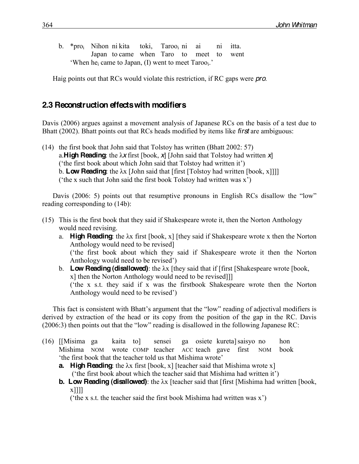b. \*proi Nihon ni kita toki, Tarooi ni ai ni itta. Japan to came when Taro to meet to went 'When he<sub>i</sub> came to Japan, (I) went to meet Taroo<sub>i</sub>.'

Haig points out that RCs would violate this restriction, if RC gaps were *pro*.

### **2.3 Reconstruction effects with modifiers**

Davis (2006) argues against a movement analysis of Japanese RCs on the basis of a test due to Bhatt (2002). Bhatt points out that RCs heads modified by items like *first* are ambiguous:

(14) the first book that John said that Tolstoy has written (Bhatt 2002: 57) a. **High Reading**: the  $\lambda x$  first [book,  $\lambda$ ] [John said that Tolstoy had written  $\lambda$ ] ('the first book about which John said that Tolstoy had written it') b. **Low Reading**: the  $\lambda x$  [John said that [first [Tolstoy had written [book, x]]]] ('the x such that John said the first book Tolstoy had written was  $x'$ )

Davis (2006: 5) points out that resumptive pronouns in English RCs disallow the "low" reading corresponding to (14b):

- (15) This is the first book that they said if Shakespeare wrote it, then the Norton Anthology would need revising.
	- a. **High Reading**: the  $\lambda x$  first [book, x] [they said if Shakespeare wrote x then the Norton Anthology would need to be revised] ('the first book about which they said if Shakespeare wrote it then the Norton Anthology would need to be revised')
	- b. **Low Reading (disallowed)**: the  $\lambda x$  [they said that if [first [Shakespeare wrote [book, x] then the Norton Anthology would need to be revised]]] ( $'$ the x s.t. they said if x was the firstbook Shakespeare wrote then the Norton Anthology would need to be revised')

This fact is consistent with Bhatt's argument that the "low" reading of adjectival modifiers is derived by extraction of the head or its copy from the position of the gap in the RC. Davis  $(2006:3)$  then points out that the "low" reading is disallowed in the following Japanese RC:

(16) [[Misima ga kaita to] sensei ga osiete kureta]saisyo no hon Mishima NOM wrote COMP teacher ACC teach gave first NOM book the first book that the teacher told us that Mishima wrote'

**a. High Reading**: the  $\lambda x$  first [book, x] [teacher said that Mishima wrote x] ('the first book about which the teacher said that Mishima had written it')

**b.** Low Reading (disallowed): the  $\lambda x$  [teacher said that [first [Mishima had written [book, x]]]]

 $'$ the x s.t. the teacher said the first book Mishima had written was x')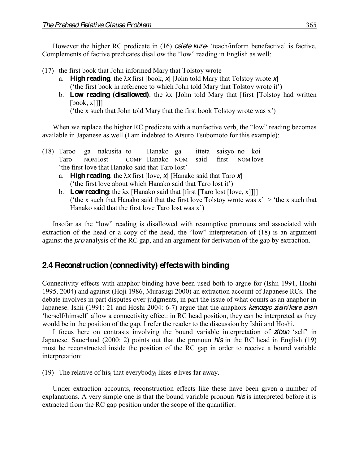However the higher RC predicate in (16) *osiete kure* 'teach/inform benefactive' is factive. Complements of factive predicates disallow the "low" reading in English as well:

- (17) the first book that John informed Mary that Tolstoy wrote
	- a. **High reading**: the  $\lambda x$  first [book,  $\chi$ ] [John told Mary that Tolstoy wrote  $\chi$ ] ( $'$ the first book in reference to which John told Mary that Tolstoy wrote it')
	- b. **Low reading (disallowed)**: the  $\lambda x$  [John told Mary that [first [Tolstoy had written] [book, x]]]]

 $('the x such that John told Mary that the first book Tolstov wrote was x')$ 

When we replace the higher RC predicate with a nonfactive verb, the "low" reading becomes available in Japanese as well (I am indebted to Atsuro Tsubomoto for this example):

- (18) Taroo ga nakusita to Hanako ga itteta saisyo no koi Taro NOM lost COMP Hanako NOM said first NOM love 'the first love that Hanako said that Taro lost'
	- a. **High reading**: the  $\lambda x$  first [love,  $x$ ] [Hanako said that Taro  $x$ ] ('the first love about which Hanako said that Taro lost it')
	- b. **Low reading**: the  $\lambda x$  [Hanako said that [first [Taro lost [love, x]]]] ('the x such that Hanako said that the first love Tolstoy wrote was  $x' >$ 'the x such that Hanako said that the first love Taro lost was  $x^2$ )

Insofar as the "low" reading is disallowed with resumptive pronouns and associated with extraction of the head or a copy of the head, the "low" interpretation of  $(18)$  is an argument against the *pro* analysis of the RC gap, and an argument for derivation of the gap by extraction.

# **2.4 Reconstruction (connectivity) effects with binding**

Connectivity effects with anaphor binding have been used both to argue for (Ishii 1991, Hoshi 1995, 2004) and against (Hoji 1986, Murasugi 2000) an extraction account of Japanese RCs. The debate involves in part disputes over judgments, in part the issue of what counts as an anaphor in Japanese. Ishii (1991: 21 and Hoshi 2004: 6-7) argue that the anaphors *kanozyo zisin*/*kare zisin* 'herself/himself' allow a connectivity effect: in RC head position, they can be interpreted as they would be in the position of the gap. I refer the reader to the discussion by Ishii and Hoshi.

I focus here on contrasts involving the bound variable interpretation of **zibun** 'self' in Japanese. Sauerland (2000: 2) points out that the pronoun *his* in the RC head in English (19) must be reconstructed inside the position of the RC gap in order to receive a bound variable interpretation:

(19) The relative of hisi that everybodyi likes *e*lives far away.

Under extraction accounts, reconstruction effects like these have been given a number of explanations. A very simple one is that the bound variable pronoun *his* is interpreted before it is extracted from the RC gap position under the scope of the quantifier.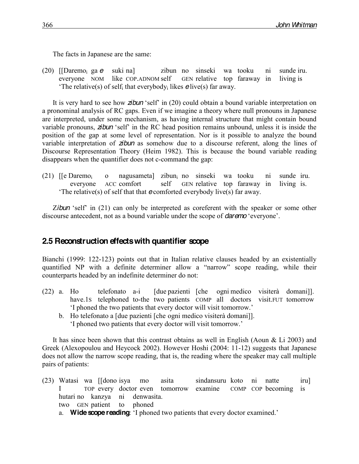The facts in Japanese are the same:

(20) [[Daremoi ga *e* suki na] zibun no sinseki wa tooku ni sunde iru. everyone NOM like COP.ADNOM self GEN relative top faraway in living is µThe relative(s) of selfi that everybodyi likes *e*live(s) far away.

It is very hard to see how **zibun** 'self' in (20) could obtain a bound variable interpretation on a pronominal analysis of RC gaps. Even if we imagine a theory where null pronouns in Japanese are interpreted, under some mechanism, as having internal structure that might contain bound variable pronouns, *zibun* 'self' in the RC head position remains unbound, unless it is inside the position of the gap at some level of representation. Nor is it possible to analyze the bound variable interpretation of *zibun* as somehow due to a discourse referent, along the lines of Discourse Representation Theory (Heim 1982). This is because the bound variable reading disappears when the quantifier does not c-command the gap:

(21)  $\left[\text{[e Daremo]} \quad \text{o} \quad \text{nagusameta}\right]$  zibun<sub>i</sub> no sinseki wa tooku ni sunde iru.<br>everyone ACC comfort self GEN relative top faraway in living is. everyone ACC comfort self GEN relative top faraway in living is. The relative(s) of self that that  $e$  comforted everybody live(s) far away.

Zibun 'self' in (21) can only be interpreted as coreferent with the speaker or some other discourse antecedent, not as a bound variable under the scope of *daremo* 'everyone'.

# **2.5 Reconstruction effects with quantifier scope**

Bianchi (1999: 122-123) points out that in Italian relative clauses headed by an existentially quantified NP with a definite determiner allow a "narrow" scope reading, while their counterparts headed by an indefinite determiner do not:

- (22) a. Ho telefonato a-i [due pazienti [che ogni medico visiterà domani]]. have.1s telephoned to-the two patients COMP all doctors visit.FUT tomorrow I phoned the two patients that every doctor will visit tomorrow.'
	- b. Ho telefonato a [due pazienti [che ogni medico visiterà domani]]. 'I phoned two patients that every doctor will visit tomorrow.'

It has since been shown that this contrast obtains as well in English (Aoun & Li 2003) and Greek (Alexopoulou and Heycock 2002). However Hoshi (2004: 11-12) suggests that Japanese does not allow the narrow scope reading, that is, the reading where the speaker may call multiple pairs of patients:

(23) Watasi wa [[dono isya mo asita sindansuru koto ni natte iru] I TOP every doctor even tomorrow examine COMP COP becoming is hutari no kanzya ni denwasita. two GEN patient to phoned a. **Wide scope reading**: 'I phoned two patients that every doctor examined.'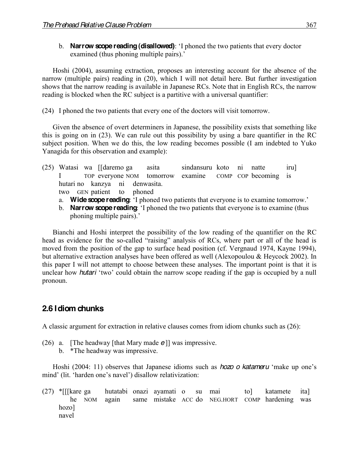b. **Narrow scope reading (disallowed)**: 'I phoned the two patients that every doctor examined (thus phoning multiple pairs).<sup>7</sup>

Hoshi (2004), assuming extraction, proposes an interesting account for the absence of the narrow (multiple pairs) reading in (20), which I will not detail here. But further investigation shows that the narrow reading is available in Japanese RCs. Note that in English RCs, the narrow reading is blocked when the RC subject is a partitive with a universal quantifier:

(24) I phoned the two patients that every one of the doctors will visit tomorrow.

Given the absence of overt determiners in Japanese, the possibility exists that something like this is going on in (23). We can rule out this possibility by using a bare quantifier in the RC subject position. When we do this, the low reading becomes possible (I am indebted to Yuko Yanagida for this observation and example):

- (25) Watasi wa [[daremo ga asita sindansuru koto ni natte iru] I TOP everyone NOM tomorrow examine COMP COP becoming is hutari no kanzya ni denwasita. two GEN patient to phoned
	- a. **Wide scope reading**: 'I phoned two patients that everyone is to examine tomorrow.'
	- b. **Narrow scope reading**: 'I phoned the two patients that everyone is to examine (thus phoning multiple pairs).

Bianchi and Hoshi interpret the possibility of the low reading of the quantifier on the RC head as evidence for the so-called "raising" analysis of RCs, where part or all of the head is moved from the position of the gap to surface head position (cf. Vergnaud 1974, Kayne 1994), but alternative extraction analyses have been offered as well (Alexopoulou & Heycock 2002). In this paper I will not attempt to choose between these analyses. The important point is that it is unclear how *hutari* 'two' could obtain the narrow scope reading if the gap is occupied by a null pronoun.

# **2.6 Idiom chunks**

A classic argument for extraction in relative clauses comes from idiom chunks such as (26):

- (26) a. [The headway [that Mary made *e*]] was impressive.
	- b. \*The headway was impressive.

Hoshi (2004: 11) observes that Japanese idioms such as *hozo o katameru* 'make up one's mind' (lit. 'harden one's navel') disallow relativization:

(27) \*[[[kare ga hutatabi onazi ayamati o su mai to] katamete ita] he NOM again same mistake ACC do NEG.HORT COMP hardening was hozo] navel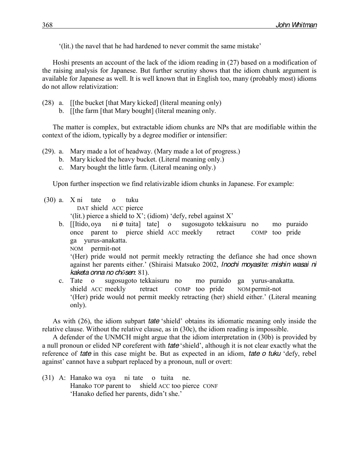(lit.) the navel that he had hardened to never commit the same mistake'

Hoshi presents an account of the lack of the idiom reading in (27) based on a modification of the raising analysis for Japanese. But further scrutiny shows that the idiom chunk argument is available for Japanese as well. It is well known that in English too, many (probably most) idioms do not allow relativization:

- (28) a. [[the bucket [that Mary kicked] (literal meaning only)
	- b. [[the farm [that Mary bought] (literal meaning only.

The matter is complex, but extractable idiom chunks are NPs that are modifiable within the context of the idiom, typically by a degree modifier or intensifier:

- (29). a. Mary made a lot of headway. (Mary made a lot of progress.)
	- b. Mary kicked the heavy bucket. (Literal meaning only.)
	- c. Mary bought the little farm. (Literal meaning only.)

Upon further inspection we find relativizable idiom chunks in Japanese. For example:

(30) a. X ni tate o tuku DAT shield ACC pierce

'(lit.) pierce a shield to X'; (idiom) 'defy, rebel against X'

- b. [[Itido, oya ni *e* tuita] tate] o sugosugoto tekkaisuru no mo puraido once parent to pierce shield ACC meekly retract COMP too pride ga yurus-anakatta. NOM permit-not µ(Her) pride would not permit meekly retracting the defiance she had once shown against her parents either.' (Shiraisi Matsuko 2002, *Inochi moyasite: mishin wasai ni kaketa onna no chǀsen*: 81).
- c. Tate o sugosugoto tekkaisuru no mo puraido ga yurus-anakatta. shield ACC meekly retract COMP too pride NOM permit-not '(Her) pride would not permit meekly retracting (her) shield either.' (Literal meaning only).

As with (26), the idiom subpart *tate* 'shield' obtains its idiomatic meaning only inside the relative clause. Without the relative clause, as in (30c), the idiom reading is impossible.

A defender of the UNMCH might argue that the idiom interpretation in (30b) is provided by a null pronoun or elided NP coreferent with *tate* 'shield', although it is not clear exactly what the reference of *tate* in this case might be. But as expected in an idiom, *tate* o *tuku* 'defy, rebel against' cannot have a subpart replaced by a pronoun, null or overt:

(31) A: Hanako wa oya ni tate o tuita ne. Hanako TOP parent to shield ACC too pierce CONF 'Hanako defied her parents, didn't she.'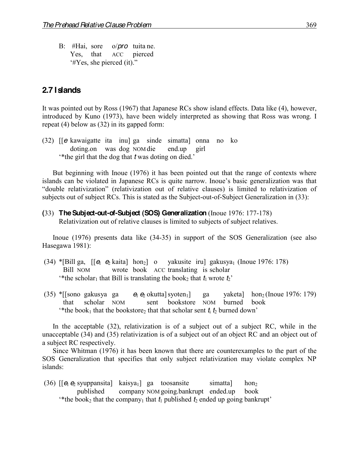B: #Hai, sore o/*pro* tuita ne. Yes, that ACC pierced '#Yes, she pierced (it)."

### **2.7 Islands**

It was pointed out by Ross (1967) that Japanese RCs show island effects. Data like (4), however, introduced by Kuno (1973), have been widely interpreted as showing that Ross was wrong. I repeat (4) below as (32) in its gapped form:

(32) [[*e* kawaigatte ita inu] ga sinde simatta] onna no ko doting.on was dog NOM die end.up girl \*the girl that the dog that *t* was doting on died."

But beginning with Inoue (1976) it has been pointed out that the range of contexts where islands can be violated in Japanese RCs is quite narrow. Inoue's basic generalization was that "double relativization" (relativization out of relative clauses) is limited to relativization of subjects out of subject RCs. This is stated as the Subject-out-of-Subject Generalization in (33):

**(**33) **The Subject-out-of-Subject (SOS) Generalization** (Inoue 1976: 177-178) Relativization out of relative clauses is limited to subjects of subject relatives.

Inoue (1976) presents data like (34-35) in support of the SOS Generalization (see also Hasegawa 1981):

- (34) \*[Bill ga,  $[[e_1 e_2 kaita]$  hon<sub>2</sub>] o yakusite iru] gakusya<sub>1</sub> (Inoue 1976: 178) Bill NOM wrote book ACC translating is scholar <sup>\*\*</sup>the scholar<sub>1</sub> that Bill is translating the book<sub>2</sub> that  $t_1$  wrote  $t_2$ <sup>\*</sup>
- $(35)$  \*[[sono gakusya ga  $\Theta$   $\Theta$  okutta] syoten<sub>1</sub>] ga yaketa] hon<sub>2</sub> (Inoue 1976: 179) that scholar NOM sent bookstore NOM burned book <sup>\*\*</sup>the book<sub>1</sub> that the bookstore<sub>2</sub> that that scholar sent  $t_i$   $t_2$  burned down<sup>2</sup>

In the acceptable (32), relativization is of a subject out of a subject RC, while in the unacceptable (34) and (35) relativization is of a subject out of an object RC and an object out of a subject RC respectively.

Since Whitman (1976) it has been known that there are counterexamples to the part of the SOS Generalization that specifies that only subject relativization may violate complex NP islands:

(36) [[ $\theta_1 \theta_2$  syuppansita] kaisya<sub>1</sub>] ga toosansite simatta] hon<sub>2</sub> published company NOM going.bankrupt ended.up book <sup>\*\*</sup>the book<sub>2</sub> that the company<sub>1</sub> that  $t_1$  published  $t_2$  ended up going bankrupt<sup>\*</sup>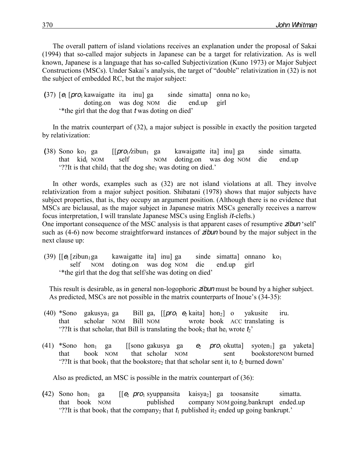The overall pattern of island violations receives an explanation under the proposal of Sakai (1994) that so-called major subjects in Japanese can be a target for relativization. As is well known, Japanese is a language that has so-called Subjectivization (Kuno 1973) or Major Subject Constructions (MSCs). Under Sakai's analysis, the target of "double" relativization in (32) is not the subject of embedded RC, but the major subject:

(37)  $\left[ \theta \right]$   $\left[ \text{pro}_1 \text{ kawaigatte} \right]$  ita inu ga sinde simatta onna no ko<sub>1</sub> doting.on was dog NOM die end.up girl \*the girl that the dog that *t* was doting on died'

In the matrix counterpart of (32), a major subject is possible in exactly the position targeted by relativization:

 $(38)$  Sono ko<sub>1</sub> ga  $\left[\frac{\rho r}{Q_1}/z$ ibun<sub>1</sub> ga kawaigatte ita inu ga sinde simatta. that kidi NOM self NOM doting.on was dog NOM die end.up ??It is that child<sub>1</sub> that the dog she<sub>1</sub> was doting on died."

In other words, examples such as (32) are not island violations at all. They involve relativization from a major subject position. Shibatani (1978) shows that major subjects have subject properties, that is, they occupy an argument position. (Although there is no evidence that MSCs are biclausal, as the major subject in Japanese matrix MSCs generally receives a narrow focus interpretation, I will translate Japanese MSCs using English *it*-clefts.) One important consequence of the MSC analysis is that apparent cases of resumptive **zibun** 'self' such as (4-6) now become straightforward instances of *zibun* bound by the major subject in the

next clause up:

(39)  $\left[\right]$   $\left[\right]$   $\left[\right]$   $\left[\right]$   $\left[\right]$   $\left[\right]$   $\left[\right]$   $\left[\right]$   $\left[\right]$   $\left[\right]$   $\left[\right]$   $\left[\right]$   $\left[\right]$   $\left[\right]$   $\left[\right]$   $\left[\right]$   $\left[\right]$   $\left[\right]$   $\left[\right]$   $\left[\right]$   $\left[\right]$   $\left[\right]$   $\left[\right]$   $\left[\right]$   $\left[\right]$   $\left[\right]$   $\left[\right]$  self NOM doting.on was dog NOM die end.up girl \*the girl that the dog that self/she was doting on died?

This result is desirable, as in general non-logophoric *zibun* must be bound by a higher subject. As predicted, MSCs are not possible in the matrix counterparts of Inoue's  $(34-35)$ :

- (40) \*Sono gakusya<sub>1</sub> ga Bill ga,  $\left[\right]$  *pro*<sub>1</sub>  $\Theta$  kaita] hon<sub>2</sub>] o yakusite iru. that scholar NOM Bill NOM wrote book ACC translating is "??It is that scholar<sub>i</sub> that Bill is translating the book<sub>2</sub> that he<sub>i</sub> wrote  $t_2$ "
- (41) \*Sono hon<sub>1</sub> ga [[sono gakusya ga  $\theta_2$  *pro*<sub>1</sub> okutta] syoten<sub>1</sub>] ga yaketa] that book NOM that scholar NOM sent bookstoreNOM burned "??It is that book<sub>1</sub> that the bookstore<sub>2</sub> that that scholar sent it<sub>i</sub> to  $t_2$  burned down"

Also as predicted, an MSC is possible in the matrix counterpart of (36):

**(**42) Sono hon1 ga [[*e*<sup>2</sup> *pro*<sup>1</sup> syuppansita kaisya2] ga toosansite simatta. that book NOM published company NOM going.bankrupt ended.up ??It is that book<sub>1</sub> that the company<sub>2</sub> that  $t_1$  published it<sub>2</sub> ended up going bankrupt.'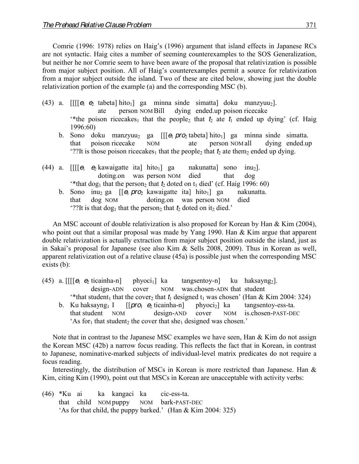Comrie (1996: 1978) relies on Haig's (1996) argument that island effects in Japanese RCs are not syntactic. Haig cites a number of seeming counterexamples to the SOS Generalization, but neither he nor Comrie seem to have been aware of the proposal that relativization is possible from major subject position. All of Haig's counterexamples permit a source for relativization from a major subject outside the island. Two of these are cited below, showing just the double relativization portion of the example (a) and the corresponding MSC (b).

- (43) a.  $[[[[e_1 e_2]_1]_1]$  ga minna sinde simatta doku manzyuu<sub>2</sub>]. ate person NOM Bill dying ended.up poison ricecake "the poison ricecakes<sub>1</sub> that the people<sub>2</sub> that  $t_2$  ate  $t_1$  ended up dying" (cf. Haig 1996:60)
	- b. Sono doku manzyuu<sub>2</sub> ga [[[ $\epsilon_1$  *pro*<sub>2</sub> tabeta] hito<sub>1</sub>] ga minna sinde simatta. that poison ricecake NOM ate person NOM all dying ended.up "??It is those poison ricecakes<sub>1</sub> that the people<sub>2</sub> that  $t_2$  ate them<sub>2</sub> ended up dying.
- (44) a.  $\iiint e_1 e_2$  kawaigatte ita] hito<sub>1</sub>] ga nakunatta] sono inu<sub>2</sub>]. doting.on was person NOM died that dog <sup>\*\*</sup>that dog<sub>1</sub> that the person<sub>2</sub> that  $t_2$  doted on  $t_1$  died' (cf. Haig 1996: 60)
	- b. Sono inu<sub>2</sub> ga [[*e*<sub>1</sub> *pro*<sub>2</sub> kawaigatte ita] hito<sub>1</sub>] ga nakunatta. that dog NOM doting.on was person NOM died "??It is that dog<sub>1</sub> that the person<sub>2</sub> that  $t_2$  doted on it<sub>2</sub> died."

An MSC account of double relativization is also proposed for Korean by Han & Kim (2004), who point out that a similar proposal was made by Yang 1990. Han & Kim argue that apparent double relativization is actually extraction from major subject position outside the island, just as in Sakai's proposal for Japanese (see also Kim  $\&$  Sells 2008, 2009). Thus in Korean as well, apparent relativization out of a relative clause (45a) is possible just when the corresponding MSC exists (b):

- (45) a. [[[[ $\theta$ <sub>1</sub> e<sub>2</sub> ticainha-n] phyoci<sub>1</sub>] ka tangsentoy-n] ku haksayng<sub>2</sub>]. design-ADN cover NOM was.chosen-ADN that student "that student<sub>1</sub> that the cover<sub>2</sub> that  $t_1$  designed  $t_1$  was chosen" (Han & Kim 2004: 324)
	- b. Ku haksayng<sub>1</sub> I [[*pro*<sub>1</sub>  $\Theta_2$  ticainha-n] phyoci<sub>2</sub>] ka tangsentoy-ess-ta. that student NOM design-AND cover NOM is.chosen-PAST-DEC 'As for<sub>1</sub> that student<sub>2</sub> the cover that she<sub>1</sub> designed was chosen.'

Note that in contrast to the Japanese MSC examples we have seen, Han & Kim do not assign the Korean MSC (42b) a narrow focus reading. This reflects the fact that in Korean, in contrast to Japanese, nominative-marked subjects of individual-level matrix predicates do not require a focus reading.

Interestingly, the distribution of MSCs in Korean is more restricted than Japanese. Han & Kim, citing Kim (1990), point out that MSCs in Korean are unacceptable with activity verbs:

(46) \*Ku ai ka kangaci ka cic-ess-ta. that child NOM puppy NOM bark-PAST-DEC 'As for that child, the puppy barked.' (Han  $& Kim 2004: 325$ )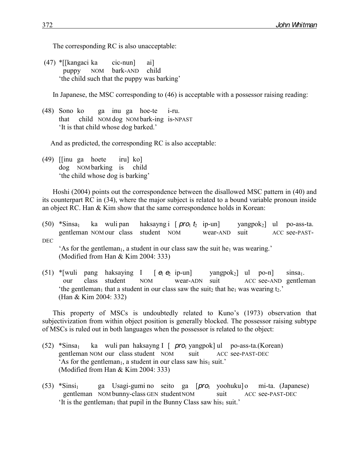The corresponding RC is also unacceptable:

(47) \*[[kangaci ka cic-nun] ai] puppy NOM bark-AND child the child such that the puppy was barking'

In Japanese, the MSC corresponding to (46) is acceptable with a possessor raising reading:

(48) Sono ko ga inu ga hoe-te i-ru. that child NOM dog NOM bark-ing is-NPAST 'It is that child whose dog barked.'

And as predicted, the corresponding RC is also acceptable:

(49) [[inu ga hoete iru] ko] dog NOM barking is child the child whose dog is barking'

Hoshi (2004) points out the correspondence between the disallowed MSC pattern in (40) and its counterpart RC in (34), where the major subject is related to a bound variable pronoun inside an object RC. Han & Kim show that the same correspondence holds in Korean:

- (50) \*Sinsa<sub>1</sub> ka wuli pan haksayng i  $[\text{pro}_1 t_2 \text{ ip-un}]$  yangpok<sub>2</sub>] ul po-ass-ta. gentleman NOM our class student NOM wear-AND suit ACC see-PAST-DEC 'As for the gentleman<sub>1</sub>, a student in our class saw the suit he<sub>1</sub> was wearing.' (Modified from Han & Kim 2004: 333)
- (51) \*[wuli pang haksaying I  $[ \theta_1 \theta_2$  ip-un] yangpok<sub>2</sub>] ul po-n] sinsa<sub>1</sub>. our class student NOM wear-ADN suit ACC see-AND gentleman 'the gentleman<sub>1</sub> that a student in our class saw the suit<sub>2</sub> that he<sub>1</sub> was wearing t<sub>2</sub>.' (Han & Kim 2004: 332)

This property of MSCs is undoubtedly related to Kuno's (1973) observation that subjectivization from within object position is generally blocked. The possessor raising subtype of MSCs is ruled out in both languages when the possessor is related to the object:

- (52) \*Sinsa1 ka wuli pan haksayng I [ *pro*<sup>1</sup> yangpok] ul po-ass-ta.(Korean) gentleman NOM our class student NOM suit ACC see-PAST-DEC 'As for the gentleman<sub>1</sub>, a student in our class saw his<sub>1</sub> suit.' (Modified from Han & Kim 2004: 333)
- (53) \*Sinsi1 ga Usagi-gumi no seito ga [*pro*<sup>1</sup> yoohuku] o mi-ta. (Japanese) gentleman NOM bunny-class GEN student NOM suit ACC see-PAST-DEC 'It is the gentleman<sub>1</sub> that pupil in the Bunny Class saw his<sub>1</sub> suit.'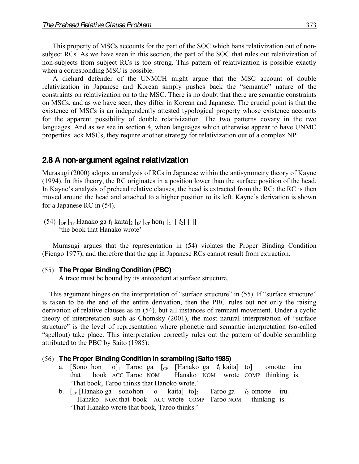This property of MSCs accounts for the part of the SOC which bans relativization out of nonsubject RCs. As we have seen in this section, the part of the SOC that rules out relativization of non-subjects from subject RCs is too strong. This pattern of relativization is possible exactly when a corresponding MSC is possible.

A diehard defender of the UNMCH might argue that the MSC account of double relativization in Japanese and Korean simply pushes back the "semantic" nature of the constraints on relativization on to the MSC. There is no doubt that there are semantic constraints on MSCs, and as we have seen, they differ in Korean and Japanese. The crucial point is that the existence of MSCs is an independently attested typological property whose existence accounts for the apparent possibility of double relativization. The two patterns covary in the two languages. And as we see in section 4, when languages which otherwise appear to have UNMC properties lack MSCs, they require another strategy for relativization out of a complex NP.

### **2.8 A non-argument against relativization**

Murasugi (2000) adopts an analysis of RCs in Japanese within the antisymmetry theory of Kayne (1994). In this theory, the RC originates in a position lower than the surface position of the head. In Kayne's analysis of prehead relative clauses, the head is extracted from the RC; the RC is then moved around the head and attached to a higher position to its left. Kayne's derivation is shown for a Japanese RC in (54).

 $(54)$  [<sub>DP</sub> [<sub>TP</sub> Hanako ga  $t_1$  kaita]<sub>2</sub> [<sub>D'</sub> [<sub>CP</sub> hon<sub>1</sub> [<sub>C'</sub> [  $t_2$ ] ]]]] 'the book that Hanako wrote'

Murasugi argues that the representation in (54) violates the Proper Binding Condition (Fiengo 1977), and therefore that the gap in Japanese RCs cannot result from extraction.

#### (55) **The Proper Binding Condition (PBC)**

A trace must be bound by its antecedent at surface structure.

This argument hinges on the interpretation of "surface structure" in (55). If "surface structure" is taken to be the end of the entire derivation, then the PBC rules out not only the raising derivation of relative clauses as in (54), but all instances of remnant movement. Under a cyclic theory of interpretation such as Chomsky (2001), the most natural interpretation of "surface structure" is the level of representation where phonetic and semantic interpretation (so-called "spellout) take place. This interpretation correctly rules out the pattern of double scrambling attributed to the PBC by Saito (1985):

#### (56) **The Proper Binding Condition in scrambling (Saito 1985)**

- a. [Sono hon o]<sub>1</sub> Taroo ga  $\lceil c \rceil$  [Hanako ga  $t_1$  kaita] to omotte iru. that book ACC Taroo NOM Hanako NOM wrote COMP thinking is. 'That book, Taroo thinks that Hanoko wrote.'
- b.  $\lbrack \mathbf{C}_{P} \rbrack$  [Hanako ga sonohon o kaita] to]<sub>2</sub> Taroo ga  $t_2$  omotte iru. Hanako NOM that book ACC wrote COMP Taroo NOM thinking is. 'That Hanako wrote that book, Taroo thinks.'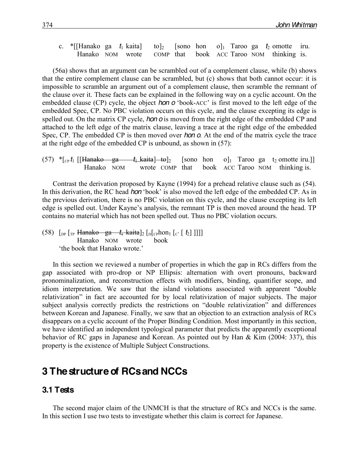c. \*[[Hanako ga  $t_1$  kaita] to]<sub>2</sub> [sono hon o]<sub>1</sub> Taroo ga  $t_2$  omotte iru. Hanako NOM wrote COMP that book ACC Taroo NOM thinking is.

(56a) shows that an argument can be scrambled out of a complement clause, while (b) shows that the entire complement clause can be scrambled, but (c) shows that both cannot occur: it is impossible to scramble an argument out of a complement clause, then scramble the remnant of the clause over it. These facts can be explained in the following way on a cyclic account. On the embedded clause (CP) cycle, the object *hon o* 'book-ACC' is first moved to the left edge of the embedded Spec, CP. No PBC violation occurs on this cycle, and the clause excepting its edge is spelled out. On the matrix CP cycle, *hon o* is moved from the right edge of the embedded CP and attached to the left edge of the matrix clause, leaving a trace at the right edge of the embedded Spec, CP. The embedded CP is then moved over *hon o*. At the end of the matrix cycle the trace at the right edge of the embedded CP is unbound, as shown in (57):

 $(57)$  \* $[<sub>CP</sub> t<sub>1</sub>$  [[Hanako ga  $t<sub>1</sub>$  kaita] to  $]_2$  [sono hon o]<sub>1</sub> Taroo ga t<sub>2</sub> omotte iru.]] Hanako NOM wrote COMP that book ACC Taroo NOM thinking is.

Contrast the derivation proposed by Kayne (1994) for a prehead relative clause such as (54). In this derivation, the RC head *hon* 'book' is also moved the left edge of the embedded CP. As in the previous derivation, there is no PBC violation on this cycle, and the clause excepting its left edge is spelled out. Under Kayne's analysis, the remnant TP is then moved around the head. TP contains no material which has not been spelled out. Thus no PBC violation occurs.

 $(58)$   $\lceil_{DP} \rceil$ <sub>TP</sub> Hanako ga  $t_1$  kaita]<sub>2</sub>  $\lceil_{D} \lceil_{CP}$ hon<sub>1</sub>  $\lceil_{C'} \lceil_{C'} \rceil$ ]]]] Hanako NOM wrote book 'the book that Hanako wrote.'

In this section we reviewed a number of properties in which the gap in RCs differs from the gap associated with pro-drop or NP Ellipsis: alternation with overt pronouns, backward pronominalization, and reconstruction effects with modifiers, binding, quantifier scope, and idiom interpretation. We saw that the island violations associated with apparent "double relativization" in fact are accounted for by local relativization of major subjects. The major subject analysis correctly predicts the restrictions on "double relativization" and differences between Korean and Japanese. Finally, we saw that an objection to an extraction analysis of RCs disappears on a cyclic account of the Proper Binding Condition. Most importantly in this section, we have identified an independent typological parameter that predicts the apparently exceptional behavior of RC gaps in Japanese and Korean. As pointed out by Han & Kim (2004: 337), this property is the existence of Multiple Subject Constructions.

# **3 The structure of RCs and NCCs**

### **3.1 Tests**

The second major claim of the UNMCH is that the structure of RCs and NCCs is the same. In this section I use two tests to investigate whether this claim is correct for Japanese.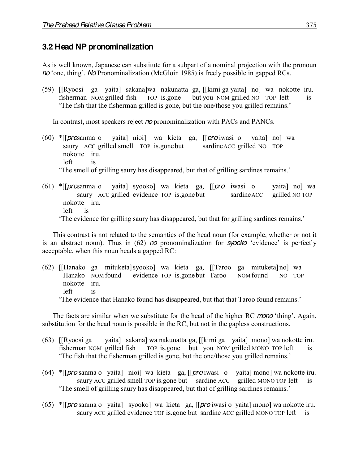### **3.2 Head NP pronominalization**

As is well known, Japanese can substitute for a subpart of a nominal projection with the pronoun *no* 'one, thing'. *No* Pronominalization (McGloin 1985) is freely possible in gapped RCs.

(59) [[Ryoosi ga yaita] sakana]wa nakunatta ga, [[kimi ga yaita] no] wa nokotte iru. fisherman NOM grilled fish TOP is.gone but you NOM grilled NO TOP left is 'The fish that the fisherman grilled is gone, but the one/those you grilled remains.'

In contrast, most speakers reject *no* pronominalization with PACs and PANCs.

- (60) \*[[*pro*sanma o yaita] nioi] wa kieta ga, [[*pro* iwasi o yaita] no] wa saury ACC grilled smell TOP is.gonebut sardineACC grilled NO TOP nokotte iru. left is The smell of grilling saury has disappeared, but that of grilling sardines remains.'
- (61) \*[[*pro*sanma o yaita] syooko] wa kieta ga, [[*pro* iwasi o yaita] no] wa saury ACC grilled evidence TOP is.gone but sardine ACC nokotte iru. left is The evidence for grilling saury has disappeared, but that for grilling sardines remains.'

This contrast is not related to the semantics of the head noun (for example, whether or not it is an abstract noun). Thus in  $(62)$  *no* pronominalization for **syooko** 'evidence' is perfectly acceptable, when this noun heads a gapped RC:

(62) [[Hanako ga mituketa]syooko] wa kieta ga, [[Taroo ga mituketa] no] wa Hanako NOM found evidence TOP is gone but Taroo NOM found NO TOP nokotte iru. left is

'The evidence that Hanako found has disappeared, but that that Taroo found remains.'

The facts are similar when we substitute for the head of the higher RC *mono* 'thing'. Again, substitution for the head noun is possible in the RC, but not in the gapless constructions.

- (63) [[Ryoosi ga yaita] sakana] wa nakunatta ga, [[kimi ga yaita] mono] wa nokotte iru. fisherman NOM grilled fish TOP is.gone but you NOM grilled MONO TOP left is 'The fish that the fisherman grilled is gone, but the one/those you grilled remains.'
- (64) \*[[*pro* sanma o yaita] nioi] wa kieta ga, [[*pro* iwasi o yaita] mono] wa nokotte iru. saury ACC grilled smell TOP is gone but sardine ACC grilled MONO TOP left is 'The smell of grilling saury has disappeared, but that of grilling sardines remains.'
- (65) \*[[*pro* sanma o yaita] syooko] wa kieta ga, [[*pro* iwasi o yaita] mono] wa nokotte iru. saury ACC grilled evidence TOP is gone but sardine ACC grilled MONO TOP left is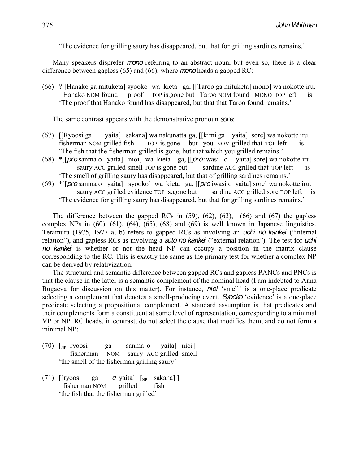The evidence for grilling saury has disappeared, but that for grilling sardines remains.'

Many speakers disprefer *mono* referring to an abstract noun, but even so, there is a clear difference between gapless (65) and (66), where *mono* heads a gapped RC:

(66) ?[[Hanako ga mituketa] syooko] wa kieta ga, [[Taroo ga mituketa] mono] wa nokotte iru. Hanako NOM found proof TOP is gone but Taroo NOM found MONO TOP left is 'The proof that Hanako found has disappeared, but that that Taroo found remains.'

The same contrast appears with the demonstrative pronoun *sore*:

- (67) [[Ryoosi ga yaita] sakana] wa nakunatta ga, [[kimi ga yaita] sore] wa nokotte iru. fisherman NOM grilled fish TOP is.gone but you NOM grilled that TOP left is The fish that the fisherman grilled is gone, but that which you grilled remains.'
- (68) \*[[*pro* sanma o yaita] nioi] wa kieta ga, [[*pro* iwasi o yaita] sore] wa nokotte iru. saury ACC grilled smell TOP is gone but sardine ACC grilled that TOP left is 'The smell of grilling saury has disappeared, but that of grilling sardines remains.'
- (69) \*[[*pro* sanma o yaita] syooko] wa kieta ga, [[*pro* iwasi o yaita] sore] wa nokotte iru. saury ACC grilled evidence TOP is.gone but sardine ACC grilled sore TOP left is 'The evidence for grilling saury has disappeared, but that for grilling sardines remains.'

The difference between the gapped RCs in  $(59)$ ,  $(62)$ ,  $(63)$ ,  $(66)$  and  $(67)$  the gapless complex NPs in  $(60)$ ,  $(61)$ ,  $(64)$ ,  $(65)$ ,  $(68)$  and  $(69)$  is well known in Japanese linguistics. Teramura (1975, 1977 a, b) refers to gapped RCs as involving an *uchi no kankei* ("internal relation"), and gapless RCs as involving a **soto** no kankei ("external relation"). The test for *uchi no kankei* is whether or not the head NP can occupy a position in the matrix clause corresponding to the RC. This is exactly the same as the primary test for whether a complex NP can be derived by relativization.

The structural and semantic difference between gapped RCs and gapless PANCs and PNCs is that the clause in the latter is a semantic complement of the nominal head (I am indebted to Anna Bugaeva for discussion on this matter). For instance, *nioi* 'smell' is a one-place predicate selecting a complement that denotes a smell-producing event. *Syooko* 'evidence' is a one-place predicate selecting a propositional complement. A standard assumption is that predicates and their complements form a constituent at some level of representation, corresponding to a minimal VP or NP. RC heads, in contrast, do not select the clause that modifies them, and do not form a minimal NP:

- (70)  $\lceil_{NP}$  ryoosi ga sanma o yaita nioi fisherman NOM saury ACC grilled smell the smell of the fisherman grilling saury'
- (71)  $[$ ryoosi ga *e* yaita]  $\lceil_{NP}$  sakana] ] fisherman NOM grilled fish 'the fish that the fisherman grilled'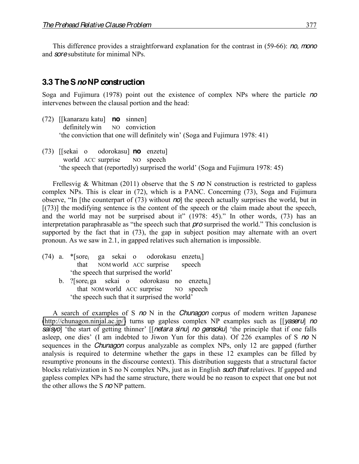This difference provides a straightforward explanation for the contrast in (59-66): *no, mono* and *sore* substitute for minimal NPs.

### **3.3 The S***no***NP construction**

Soga and Fujimura (1978) point out the existence of complex NPs where the particle *no* intervenes between the clausal portion and the head:

- (72) [[kanarazu katu] **no** sinnen] definitely win NO conviction 'the conviction that one will definitely win' (Soga and Fujimura 1978: 41)
- (73) [[sekai o odorokasu] **no** enzetu] world ACC surprise NO speech 'the speech that (reportedly) surprised the world' (Soga and Fujimura 1978: 45)

Frellesvig & Whitman (2011) observe that the S *no* N construction is restricted to gapless complex NPs. This is clear in (72), which is a PANC. Concerning (73), Soga and Fujimura observe, "In [the counterpart of (73) without *no*] the speech actually surprises the world, but in [(73)] the modifying sentence is the content of the speech or the claim made about the speech, and the world may not be surprised about it"  $(1978: 45)$ ." In other words,  $(73)$  has an interpretation paraphrasable as "the speech such that *pro* surprised the world." This conclusion is supported by the fact that in (73), the gap in subject position may alternate with an overt pronoun. As we saw in 2.1, in gapped relatives such alternation is impossible.

- (74) a.  $*$ [sore<sub>i</sub> ga sekai o odorokasu enzetu<sub>i</sub>]<br>that NOM world ACC surprise speech NOM world ACC surprise speech 'the speech that surprised the world'
	- b. ?[sorei ga sekai o odorokasu no enzetui] that NOM world ACC surprise NO speech the speech such that it surprised the world'

A search of examples of S *no* N in the *Chunagon* corpus of modern written Japanese [\(http://chunagon.ninjal.ac.jp/\)](http://chunagon.ninjal.ac.jp/) turns up gapless complex NP examples such as [[*yaseru*] *no saisyo*] 'the start of getting thinner' [[*netara sinu*] *no gensoku*] 'the principle that if one falls asleep, one dies' (I am indebted to Jiwon Yun for this data). Of 226 examples of S *no* N sequences in the *Chunagon* corpus analyzable as complex NPs, only 12 are gapped (further analysis is required to determine whether the gaps in these 12 examples can be filled by resumptive pronouns in the discourse context). This distribution suggests that a structural factor blocks relativization in S no N complex NPs, just as in English *such that* relatives. If gapped and gapless complex NPs had the same structure, there would be no reason to expect that one but not the other allows the S *no* NP pattern.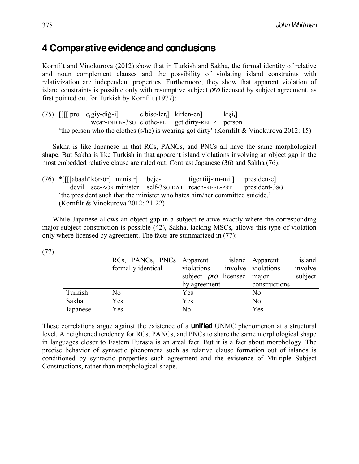# **4 Comparative evidence and conclusions**

Kornfilt and Vinokurova (2012) show that in Turkish and Sakha, the formal identity of relative and noun complement clauses and the possibility of violating island constraints with relativization are independent properties. Furthermore, they show that apparent violation of island constraints is possible only with resumptive subject *pro* licensed by subject agreement, as first pointed out for Turkish by Kornfilt (1977):

(75)  $\iiint \text{proj } e_i$  giy-diğ-i] elbise-ler<sub>i</sub> kirlen-en] kişi<sub>i</sub> wear-IND.N-3SG clothe-PL get dirty-REL.P person 'the person who the clothes (s/he) is wearing got dirty' (Kornfilt & Vinokurova 2012: 15)

Sakha is like Japanese in that RCs, PANCs, and PNCs all have the same morphological shape. But Sakha is like Turkish in that apparent island violations involving an object gap in the most embedded relative clause are ruled out. Contrast Japanese (36) and Sakha (76):

(76) \*[[[[abaahï kör-ör] ministr] beje- tiger tiij-im-mit] presiden-e] devil see-AOR minister self-3SG.DAT reach-REFL-PST president-3SG 'the president such that the minister who hates him/her committed suicide.' (Kornfilt & Vinokurova 2012: 21-22)

While Japanese allows an object gap in a subject relative exactly where the corresponding major subject construction is possible (42), Sakha, lacking MSCs, allows this type of violation only where licensed by agreement. The facts are summarized in (77):

|          | RCs, PANCs, PNCs   Apparent |                                              | island   Apparent<br>island   |
|----------|-----------------------------|----------------------------------------------|-------------------------------|
|          | formally identical          | violations                                   | involve<br>involve violations |
|          |                             | subject $\boldsymbol{p}$ ro licensed   major | subject                       |
|          |                             | by agreement                                 | constructions                 |
| Turkish  | No                          | Yes                                          | No                            |
| Sakha    | Yes                         | Yes                                          | N <sub>0</sub>                |
| Japanese | Yes                         | N <sub>0</sub>                               | Yes                           |

These correlations argue against the existence of a **unified** UNMC phenomenon at a structural level. A heightened tendency for RCs, PANCs, and PNCs to share the same morphological shape in languages closer to Eastern Eurasia is an areal fact. But it is a fact about morphology. The precise behavior of syntactic phenomena such as relative clause formation out of islands is conditioned by syntactic properties such agreement and the existence of Multiple Subject Constructions, rather than morphological shape.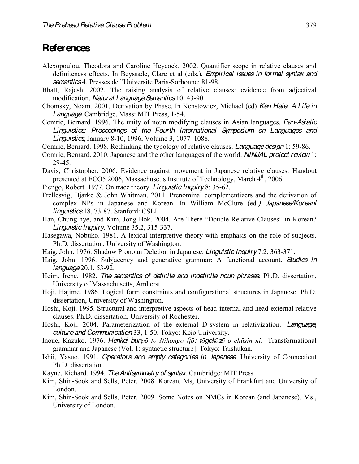# **References**

- Alexopoulou, Theodora and Caroline Heycock. 2002. Quantifier scope in relative clauses and definiteness effects. In Beyssade, Clare et al (eds.), *Empirical issues in formal syntax and semantics* 4. Presses de l'Universite Paris-Sorbonne: 81-98.
- Bhatt, Rajesh. 2002. The raising analysis of relative clauses: evidence from adjectival modification. *Natural Language Semantics* 10: 43-90.
- Chomsky, Noam. 2001. Derivation by Phase. In Kenstowicz, Michael (ed) *Ken Hale: A Life in Language.* Cambridge, Mass: MIT Press, 1-54.
- Comrie, Bernard. 1996. The unity of noun modifying clauses in Asian languages. *Pan-Asiatic Linguistics: Proceedings of the Fourth International Symposium on Languages and*  **Linguistics**, January 8-10, 1996, Volume 3, 1077–1088.
- Comrie, Bernard. 1998. Rethinking the typology of relative clauses. *Language design* 1: 59-86.
- Comrie, Bernard. 2010. Japanese and the other languages of the world. *NINJAL project review* 1: 29-45.
- Davis, Christopher. 2006. Evidence against movement in Japanese relative clauses. Handout presented at ECO5 2006, Massachusetts Institute of Technology, March 4<sup>th</sup>, 2006.
- Fiengo, Robert. 1977. On trace theory. *Linguistic Inquiry* 8: 35-62.
- Frellesvig, Bjarke & John Whitman. 2011. Prenominal complementizers and the derivation of complex NPs in Japanese and Korean. In William McClure (ed.*) Japanese/Koreanl linguistics* 18, 73-87. Stanford: CSLI.
- Han, Chung-hye, and Kim, Jong-Bok. 2004. Are There "Double Relative Clauses" in Korean? *Linguistic Inquiry*, Volume 35.2, 315-337.
- Hasegawa, Nobuko. 1981. A lexical interpretive theory with emphasis on the role of subjects. Ph.D. dissertation, University of Washington.
- Haig, John. 1976. Shadow Pronoun Deletion in Japanese. *Linguistic Inquiry* 7.2, 363-371.
- Haig, John. 1996. Subjacency and generative grammar: A functional account. *Studies in language*20.1, 53-92.
- Heim, Irene. 1982. *The semantics of definite and indefinite noun phrases*. Ph.D. dissertation, University of Massachusetts, Amherst.
- Hoji, Hajime. 1986. Logical form constraints and configurational structures in Japanese. Ph.D. dissertation, University of Washington.
- Hoshi, Koji. 1995. Structural and interpretive aspects of head-internal and head-external relative clauses. Ph.D. dissertation, University of Rochester.
- Hoshi, Koji. 2004. Parameterization of the external D-system in relativization. *Language, culture and Communication* 33, 1-50. Tokyo: Keio University.
- Inoue, Kazuko. 1976. *Henkei bunpō to Nihongo (jō: tōgokōzō o chūsin ni*. [Transformational grammar and Japanese (Vol. 1: syntactic structure]. Tokyo: Taishukan.
- Ishii, Yasuo. 1991. *Operators and empty categories in Japanese*. University of Connecticut Ph.D. dissertation.
- Kayne, Richard. 1994. *The Antisymmetry of syntax*. Cambridge: MIT Press.
- Kim, Shin-Sook and Sells, Peter. 2008. Korean. Ms, University of Frankfurt and University of London.
- Kim, Shin-Sook and Sells, Peter. 2009. Some Notes on NMCs in Korean (and Japanese). Ms., University of London.